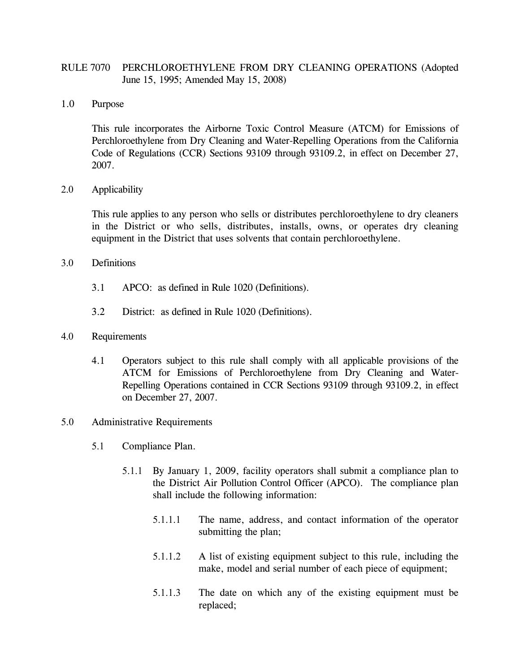## RULE 7070 PERCHLOROETHYLENE FROM DRY CLEANING OPERATIONS (Adopted June 15, 1995; Amended May 15, 2008)

1.0 Purpose

This rule incorporates the Airborne Toxic Control Measure (ATCM) for Emissions of Perchloroethylene from Dry Cleaning and Water-Repelling Operations from the California Code of Regulations (CCR) Sections 93109 through 93109.2, in effect on December 27, 2007.

2.0 Applicability

This rule applies to any person who sells or distributes perchloroethylene to dry cleaners in the District or who sells, distributes, installs, owns, or operates dry cleaning equipment in the District that uses solvents that contain perchloroethylene.

- 3.0 Definitions
	- 3.1 APCO: as defined in Rule 1020 (Definitions).
	- 3.2 District: as defined in Rule 1020 (Definitions).
- 4.0 Requirements
	- 4.1 Operators subject to this rule shall comply with all applicable provisions of the ATCM for Emissions of Perchloroethylene from Dry Cleaning and Water-Repelling Operations contained in CCR Sections 93109 through 93109.2, in effect on December 27, 2007.
- 5.0 Administrative Requirements
	- 5.1 Compliance Plan.
		- 5.1.1 By January 1, 2009, facility operators shall submit a compliance plan to the District Air Pollution Control Officer (APCO). The compliance plan shall include the following information:
			- 5.1.1.1 The name, address, and contact information of the operator submitting the plan;
			- 5.1.1.2 A list of existing equipment subject to this rule, including the make, model and serial number of each piece of equipment;
			- 5.1.1.3 The date on which any of the existing equipment must be replaced;